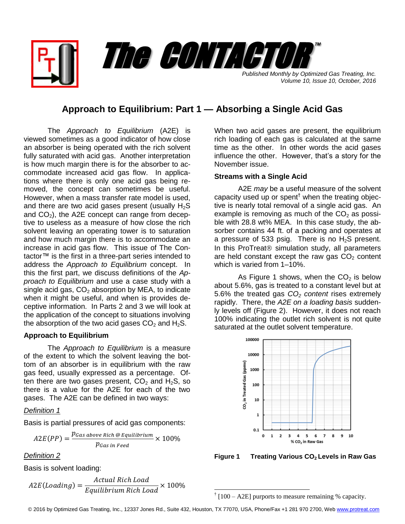*Published Monthly by Optimized Gas Treating, Inc. Volume 10, Issue 10, October, 2016* The CONTACTOR

™

## **Approach to Equilibrium: Part 1 — Absorbing a Single Acid Gas**

The *Approach to Equilibrium* (A2E) is viewed sometimes as a good indicator of how close an absorber is being operated with the rich solvent fully saturated with acid gas. Another interpretation is how much margin there is for the absorber to accommodate increased acid gas flow. In applications where there is only one acid gas being removed, the concept can sometimes be useful. However, when a mass transfer rate model is used, and there are two acid gases present (usually  $H_2S$ and  $CO<sub>2</sub>$ ), the A2E concept can range from deceptive to useless as a measure of how close the rich solvent leaving an operating tower is to saturation and how much margin there is to accommodate an increase in acid gas flow. This issue of The Contactor™ is the first in a three-part series intended to address the *Approach to Equilibrium* concept. In this the first part, we discuss definitions of the *Approach to Equilibrium* and use a case study with a single acid gas,  $CO<sub>2</sub>$  absorption by MEA, to indicate when it might be useful, and when is provides deceptive information. In Parts 2 and 3 we will look at the application of the concept to situations involving the absorption of the two acid gases  $CO<sub>2</sub>$  and  $H<sub>2</sub>S$ .

## **Approach to Equilibrium**

The *Approach to Equilibrium* is a measure of the extent to which the solvent leaving the bottom of an absorber is in equilibrium with the raw gas feed, usually expressed as a percentage. Often there are two gases present,  $CO<sub>2</sub>$  and  $H<sub>2</sub>S$ , so there is a value for the A2E for each of the two gases. The A2E can be defined in two ways:

## *Definition 1*

Basis is partial pressures of acid gas components:

$$
A2E(PP) = \frac{p_{Gas\ above\ Rich\ @\ Equilibrium}}{p_{Gas\ in\ Feed}} \times 100\%
$$

*Definition 2*

Basis is solvent loading:

$$
A2E (Loading) = \frac{Actual \, Rich \, Load}{Equilibrium \, Rich \, Load} \times 100\%
$$

When two acid gases are present, the equilibrium rich loading of each gas is calculated at the same time as the other. In other words the acid gases influence the other. However, that's a story for the November issue.

## **Streams with a Single Acid**

A2E *may* be a useful measure of the solvent capacity used up or spent<sup>†</sup> when the treating objective is nearly total removal of a single acid gas. An example is removing as much of the  $CO<sub>2</sub>$  as possible with 28.8 wt% MEA. In this case study, the absorber contains 44 ft. of a packing and operates at a pressure of 533 psig. There is no  $H_2S$  present. In this ProTreat<sup>®</sup> simulation study, all parameters are held constant except the raw gas  $CO<sub>2</sub>$  content which is varied from 1–10%.

As Figure 1 shows, when the  $CO<sub>2</sub>$  is below about 5.6%, gas is treated to a constant level but at 5.6% the treated gas *CO<sup>2</sup> content* rises extremely rapidly. There, the *A2E on a loading basis* suddenly levels off (Figure 2). However, it does not reach 100% indicating the outlet rich solvent is not quite saturated at the outlet solvent temperature.



**Figure 1 Treating Various CO2 Levels in Raw Gas**

 $\dagger$  [100 – A2E] purports to measure remaining % capacity.

© 2016 by Optimized Gas Treating, Inc., 12337 Jones Rd., Suite 432, Houston, TX 77070, USA, Phone/Fax +1 281 970 2700, We[b www.protreat.com](http://www.protreat.com/)

l